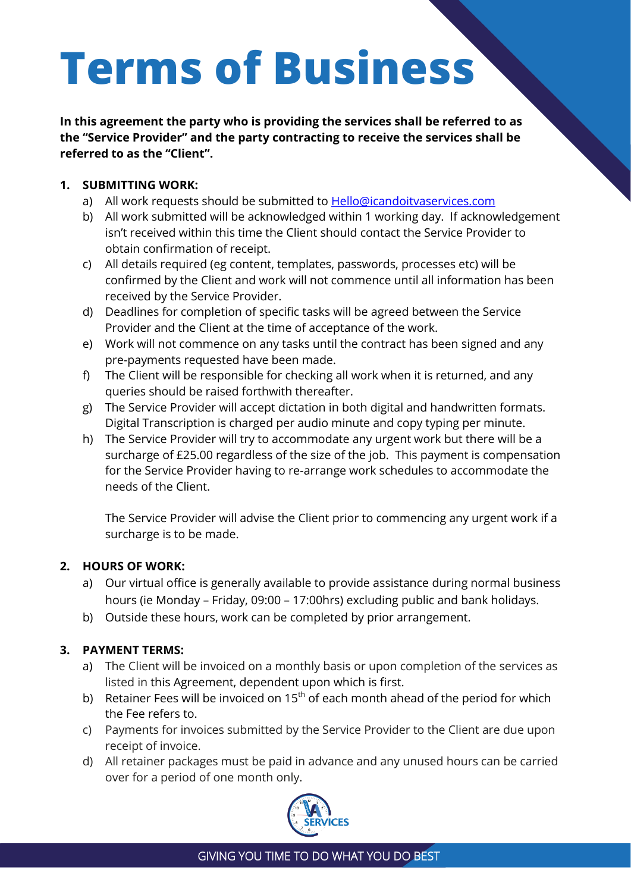# **Terms of Business**

**In this agreement the party who is providing the services shall be referred to as the "Service Provider" and the party contracting to receive the services shall be referred to as the "Client".**

## **1. SUBMITTING WORK:**

- a) All work requests should be submitted to **Hello@icandoitvaservices.com**
- b) All work submitted will be acknowledged within 1 working day. If acknowledgement isn't received within this time the Client should contact the Service Provider to obtain confirmation of receipt.
- c) All details required (eg content, templates, passwords, processes etc) will be confirmed by the Client and work will not commence until all information has been received by the Service Provider.
- d) Deadlines for completion of specific tasks will be agreed between the Service Provider and the Client at the time of acceptance of the work.
- e) Work will not commence on any tasks until the contract has been signed and any pre-payments requested have been made.
- f) The Client will be responsible for checking all work when it is returned, and any queries should be raised forthwith thereafter.
- g) The Service Provider will accept dictation in both digital and handwritten formats. Digital Transcription is charged per audio minute and copy typing per minute.
- h) The Service Provider will try to accommodate any urgent work but there will be a surcharge of £25.00 regardless of the size of the job. This payment is compensation for the Service Provider having to re-arrange work schedules to accommodate the needs of the Client.

The Service Provider will advise the Client prior to commencing any urgent work if a surcharge is to be made.

## **2. HOURS OF WORK:**

- a) Our virtual office is generally available to provide assistance during normal business hours (ie Monday – Friday, 09:00 – 17:00hrs) excluding public and bank holidays.
- b) Outside these hours, work can be completed by prior arrangement.

## **3. PAYMENT TERMS:**

- a) The Client will be invoiced on a monthly basis or upon completion of the services as listed in this Agreement, dependent upon which is first.
- b) Retainer Fees will be invoiced on  $15<sup>th</sup>$  of each month ahead of the period for which the Fee refers to.
- c) Payments for invoices submitted by the Service Provider to the Client are due upon receipt of invoice.
- d) All retainer packages must be paid in advance and any unused hours can be carried over for a period of one month only.

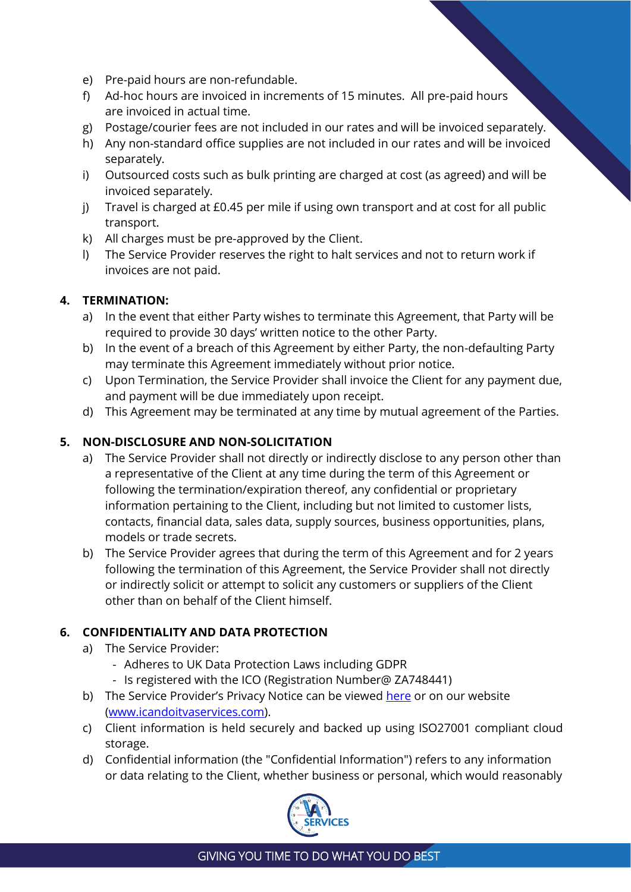- e) Pre-paid hours are non-refundable.
- f) Ad-hoc hours are invoiced in increments of 15 minutes. All pre-paid hours are invoiced in actual time.
- g) Postage/courier fees are not included in our rates and will be invoiced separately.
- h) Any non-standard office supplies are not included in our rates and will be invoiced separately.
- i) Outsourced costs such as bulk printing are charged at cost (as agreed) and will be invoiced separately.
- j) Travel is charged at £0.45 per mile if using own transport and at cost for all public transport.
- k) All charges must be pre-approved by the Client.
- l) The Service Provider reserves the right to halt services and not to return work if invoices are not paid.

#### **4. TERMINATION:**

- a) In the event that either Party wishes to terminate this Agreement, that Party will be required to provide 30 days' written notice to the other Party.
- b) In the event of a breach of this Agreement by either Party, the non-defaulting Party may terminate this Agreement immediately without prior notice.
- c) Upon Termination, the Service Provider shall invoice the Client for any payment due, and payment will be due immediately upon receipt.
- d) This Agreement may be terminated at any time by mutual agreement of the Parties.

#### **5. NON-DISCLOSURE AND NON-SOLICITATION**

- a) The Service Provider shall not directly or indirectly disclose to any person other than a representative of the Client at any time during the term of this Agreement or following the termination/expiration thereof, any confidential or proprietary information pertaining to the Client, including but not limited to customer lists, contacts, financial data, sales data, supply sources, business opportunities, plans, models or trade secrets.
- b) The Service Provider agrees that during the term of this Agreement and for 2 years following the termination of this Agreement, the Service Provider shall not directly or indirectly solicit or attempt to solicit any customers or suppliers of the Client other than on behalf of the Client himself.

#### **6. CONFIDENTIALITY AND DATA PROTECTION**

- a) The Service Provider:
	- Adheres to UK Data Protection Laws including GDPR
	- Is registered with the ICO (Registration Number@ ZA748441)
- b) The Service Provider's Privacy Notice can be viewed [here](https://www.icandoitvaservices.com/PRIVACY-NOTICE.pdf) or on our website [\(www.icandoitvaservices.com\)](http://www.icandoitvaservices.com/).
- c) Client information is held securely and backed up using ISO27001 compliant cloud storage.
- d) Confidential information (the "Confidential Information") refers to any information or data relating to the Client, whether business or personal, which would reasonably